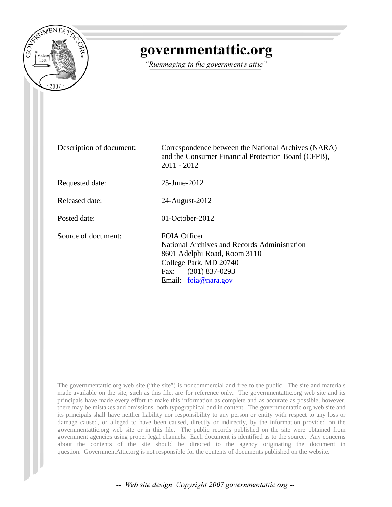

## governmentattic.org

"Rummaging in the government's attic"

Description of document: Correspondence between the National Archives (NARA) and the Consumer Financial Protection Board (CFPB), 2011 - 2012 Requested date: 25-June-2012 Released date: 24-August-2012 Posted date: 01-October-2012 Source of document: FOIA Officer National Archives and Records Administration 8601 Adelphi Road, Room 3110 College Park, MD 20740 Fax: (301) 837-0293 Email: [foia@nara.gov](mailto:foia@nara.gov?subject=FOIA%20Request)

The governmentattic.org web site ("the site") is noncommercial and free to the public. The site and materials made available on the site, such as this file, are for reference only. The governmentattic.org web site and its principals have made every effort to make this information as complete and as accurate as possible, however, there may be mistakes and omissions, both typographical and in content. The governmentattic.org web site and its principals shall have neither liability nor responsibility to any person or entity with respect to any loss or damage caused, or alleged to have been caused, directly or indirectly, by the information provided on the governmentattic.org web site or in this file. The public records published on the site were obtained from government agencies using proper legal channels. Each document is identified as to the source. Any concerns about the contents of the site should be directed to the agency originating the document in question. GovernmentAttic.org is not responsible for the contents of documents published on the website.

-- Web site design Copyright 2007 governmentattic.org --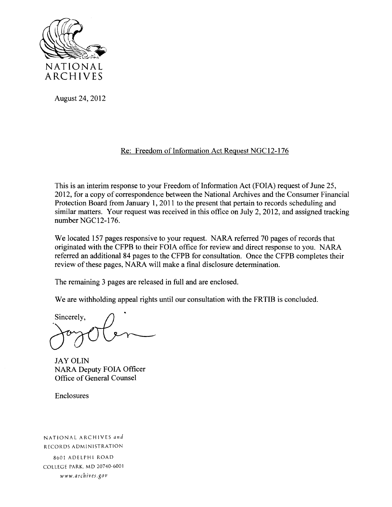

August 24, 2012

## Re: Freedom of Information Act Request NGC12-176

This is an interim response to your Freedom of Information Act (FOIA) request of June 25, 2012, for a copy of correspondence between the National Archives and the Consumer Financial Protection Board from January 1, 2011 to the present that pertain to records scheduling and similar matters. Your request was received in this office on July 2, 2012, and assigned tracking number NGC12-176.

We located 157 pages responsive to your request. NARA referred 70 pages of records that originated with the CFPB to their FOIA office for review and direct response to you. NARA referred an additional 84 pages to the CFPB for consultation. Once the CFPB completes their review of these pages, NARA will make a final disclosure determination.

The remaining 3 pages are released in full and are enclosed.

We are withholding appeal rights until our consultation with the FRTIB is concluded.

Sincerely,

JAY OLIN NARA Deputy FOIA Officer Office of General Counsel

Enclosures

NATIONAL ARCHIVES *and*  RECORDS ADMINISTRATION 8601 ADELPHI ROAD COLLEGE PARK. MD 20740-6001 www. *arch ives.gov*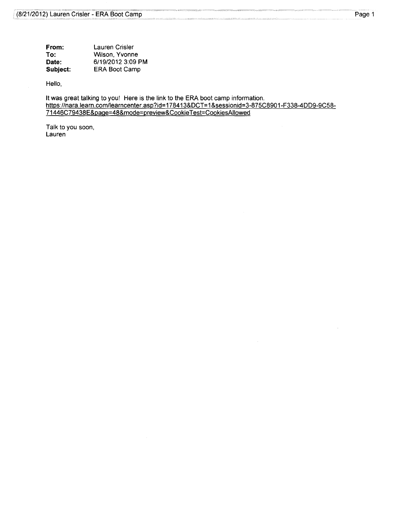| From:    | Lauren Crisler       |
|----------|----------------------|
| To:      | Wilson, Yvonne       |
| Date:    | 6/19/2012 3:09 PM    |
| Subject: | <b>ERA Boot Camp</b> |

Hello,

It was great talking to you! Here is the link to the ERA boot camp information. https://nara.learn.com/learncenter.asp?id=178413&DCT=1 &sessionid=3-875C8901-F338-4DD9-9C58- 71446C79438E&page=48&mode=preview&CookieTest=CookiesAIIowed

Talk to you soon, Lauren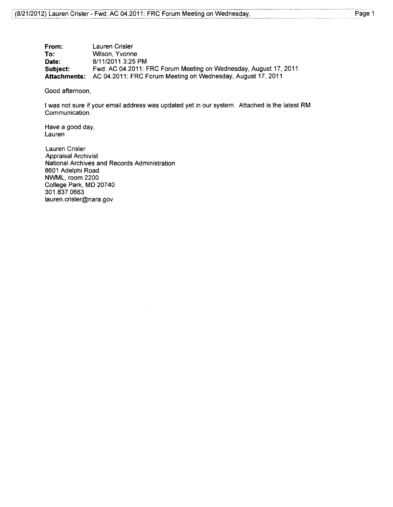| From:    | Lauren Crisler                                                                  |
|----------|---------------------------------------------------------------------------------|
| To:      | Wilson, Yvonne                                                                  |
| Date:    | 8/11/2011 3:25 PM                                                               |
| Subject: | Fwd: AC 04.2011: FRC Forum Meeting on Wednesday, August 17, 2011                |
|          | <b>Attachments:</b> AC 04.2011: FRC Forum Meeting on Wednesday, August 17, 2011 |

Good afternoon,

I was not sure if your email address was updated yet in our system. Attached is the latest RM Communication.

Have a good day, Lauren

Lauren Crisler Appraisal Archivist National Archives and Records Administration 8601 Adelphi Road NWML, room 2200 College Park, MD 20740 301.837.0663 lauren.crisler@nara.gov